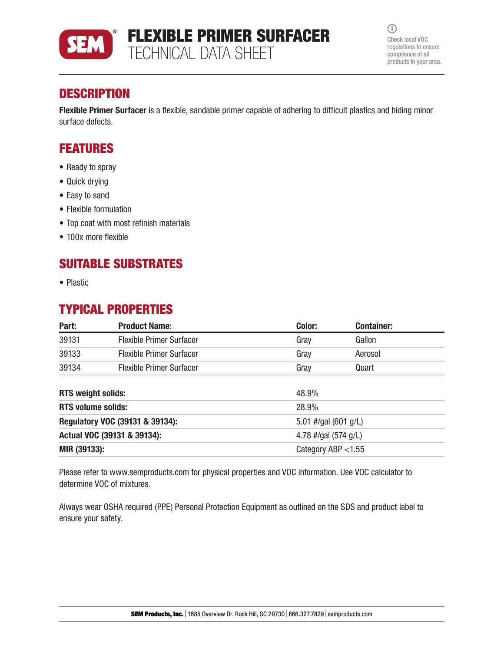

 $\odot$ Check local VOC regulations to ensure compliance of all products in your area.

## **DESCRIPTION**

Flexible Primer Surfacer is a flexible, sandable primer capable of adhering to difficult plastics and hiding minor surface defects.

## FEATURES

- Ready to spray
- Quick drying
- Easy to sand
- Flexible formulation
- Top coat with most refinish materials
- 100x more flexible

### SUITABLE SUBSTRATES

• Plastic

### TYPICAL PROPERTIES

| Part:                           | <b>Product Name:</b>            | Color:                 | <b>Container:</b> |  |
|---------------------------------|---------------------------------|------------------------|-------------------|--|
| 39131                           | <b>Flexible Primer Surfacer</b> | Gray                   | Gallon            |  |
| 39133                           | <b>Flexible Primer Surfacer</b> | Gray                   | Aerosol           |  |
| 39134                           | <b>Flexible Primer Surfacer</b> | Gray                   | Quart             |  |
| <b>RTS weight solids:</b>       |                                 | 48.9%                  |                   |  |
| <b>RTS volume solids:</b>       |                                 | 28.9%                  |                   |  |
| Regulatory VOC (39131 & 39134): |                                 | 5.01 #/gal $(601 g/L)$ |                   |  |
| Actual VOC (39131 & 39134):     |                                 | 4.78 #/gal $(574 g/L)$ |                   |  |
| MIR (39133):                    |                                 | Category ABP $<$ 1.55  |                   |  |

Please refer to www.semproducts.com for physical properties and VOC information. Use VOC calculator to determine VOC of mixtures.

Always wear OSHA required (PPE) Personal Protection Equipment as outlined on the SDS and product label to ensure your safety.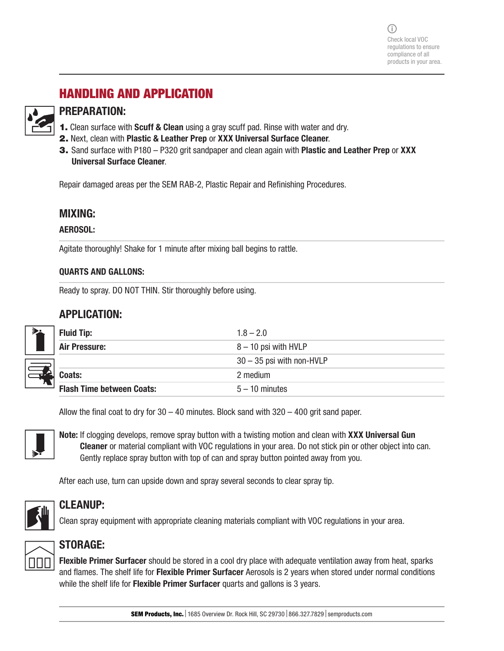# HANDLING AND APPLICATION



### PREPARATION:

- **1.** Clean surface with **Scuff & Clean** using a gray scuff pad. Rinse with water and dry.
- 2. Next, clean with Plastic & Leather Prep or XXX Universal Surface Cleaner.
- 3. Sand surface with P180 P320 grit sandpaper and clean again with Plastic and Leather Prep or XXX Universal Surface Cleaner.

Repair damaged areas per the SEM RAB-2, Plastic Repair and Refinishing Procedures.

### MIXING:

#### AEROSOL:

Agitate thoroughly! Shake for 1 minute after mixing ball begins to rattle.

### QUARTS AND GALLONS:

Ready to spray. DO NOT THIN. Stir thoroughly before using.

### APPLICATION:

| <b>Fluid Tip:</b>                      | $1.8 - 2.0$                 |  |
|----------------------------------------|-----------------------------|--|
| <b>Air Pressure:</b>                   | $8 - 10$ psi with HVLP      |  |
|                                        | $30 - 35$ psi with non-HVLP |  |
| Coats:                                 | 2 medium                    |  |
| л.<br><b>Flash Time between Coats:</b> | $5 - 10$ minutes            |  |

Allow the final coat to dry for  $30 - 40$  minutes. Block sand with  $320 - 400$  grit sand paper.



Note: If clogging develops, remove spray button with a twisting motion and clean with XXX Universal Gun Cleaner or material compliant with VOC regulations in your area. Do not stick pin or other object into can. Gently replace spray button with top of can and spray button pointed away from you.

After each use, turn can upside down and spray several seconds to clear spray tip.



### CLEANUP:

Clean spray equipment with appropriate cleaning materials compliant with VOC regulations in your area.



### STORAGE:

Flexible Primer Surfacer should be stored in a cool dry place with adequate ventilation away from heat, sparks and flames. The shelf life for Flexible Primer Surfacer Aerosols is 2 years when stored under normal conditions while the shelf life for **Flexible Primer Surfacer** quarts and gallons is 3 years.